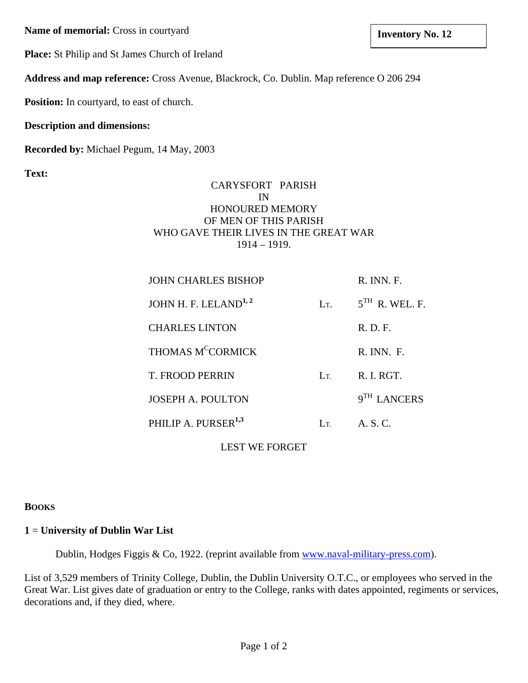**Name of memorial:** Cross in courtyard **a Inventory No. 12 lands Inventory No. 12** 

**Place:** St Philip and St James Church of Ireland

**Address and map reference:** Cross Avenue, Blackrock, Co. Dublin. Map reference O 206 294

**Position:** In courtyard, to east of church.

## **Description and dimensions:**

**Recorded by:** Michael Pegum, 14 May, 2003

**Text:**

### CARYSFORT PARISH IN HONOURED MEMORY OF MEN OF THIS PARISH WHO GAVE THEIR LIVES IN THE GREAT WAR 1914 – 1919.

| <b>JOHN CHARLES BISHOP</b>       |                  | $R.$ INN. $F.$          |
|----------------------------------|------------------|-------------------------|
| JOHN H. F. LELAND <sup>1,2</sup> | L <sub>T</sub> . | $5TH$ R. WEL. F.        |
| <b>CHARLES LINTON</b>            |                  | R. D. F.                |
| THOMAS M <sup>C</sup> CORMICK    |                  | $R$ . INN. $F$ .        |
| T. FROOD PERRIN                  | $L_{\rm T}$      | R. I. RGT.              |
| <b>JOSEPH A. POULTON</b>         |                  | 9 <sup>TH</sup> LANCERS |
| PHILIP A. PURSER <sup>1,3</sup>  | Lт               | A S C                   |

LEST WE FORGET

### **BOOKS**

### **1** = **University of Dublin War List**

Dublin, Hodges Figgis & Co, 1922. (reprint available from [www.naval-military-press.com\)](http://www.naval-military-press.com/).

List of 3,529 members of Trinity College, Dublin, the Dublin University O.T.C., or employees who served in the Great War. List gives date of graduation or entry to the College, ranks with dates appointed, regiments or services, decorations and, if they died, where.